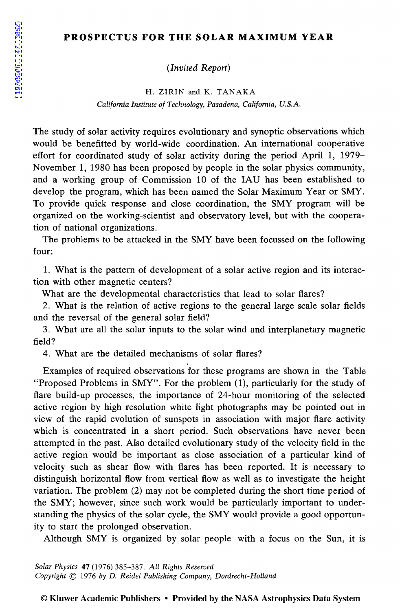## **PROSPECTUS FOR THE SOLAR MAXIMUM YEAR**

*(Invited Report)* 

H. ZIRIN and K. TANAKA *California Institute of Technology, Pasadena, California, U.S.A.* 

The study of solar activity requires evolutionary and synoptic observations which would be benefitted by world-wide coordination. An international cooperative effort for coordinated study of solar activity during the period April 1, 1979- November 1, 1980 has been proposed by people in the solar physics community, and a working group of Commission 10 of the IAU has been established to develop the program, which has been named the Solar Maximum Year or SMY. To provide quick response and close coordination, the SMY program will be organized on the working-scientist and observatory level, but with the cooperation of national organizations.

The problems to be attacked in the SMY have been focussed on the following four:

1. What is the pattern of development of a solar active region and its interaction with other magnetic centers?

What are the developmental characteristics that lead to solar flares?

2. What is the relation of active regions to the general large scale solar fields and the reversal of the general solar field?

3. What are all the solar inputs to the solar wind and interplanetary magnetic field?

4. What are the detailed mechanisms of solar flares?

Examples of required observations for these programs are shown in the Table "Proposed Problems in SMY". For the problem (1), particularly for the study of flare build-up processes, the importance of 24-hour monitoring of the selected active region by high resolution white light photographs may be pointed out in view of the rapid evolution of sunspots in association with major flare activity which is concentrated in a short period. Such observations have never been attempted in the past. Also detailed evolutionary study of the velocity field in the active region would be important as close association of a particular kind of velocity such as shear flow with flares has been reported. It is necessary to distinguish horizontal flow from vertical flow as well as to investigate the height variation. The problem (2) may not be completed during the short time period of the SMY; however, since such work would be particularly important to understanding the physics of the solar cycle, the SMY would provide a good opportunity to start the prolonged observation.

Although SMY is organized by solar people with a focus on the Sun, it is

*Solar Physics* 47 (1976) 385-387. *All Rights Reserved Copyright* © 1976 *by D. Reidel Publishing Company, Dordrecht-Holland* 

## © Kluwer Academic Publishers • Provided by the NASA Astrophysics Data System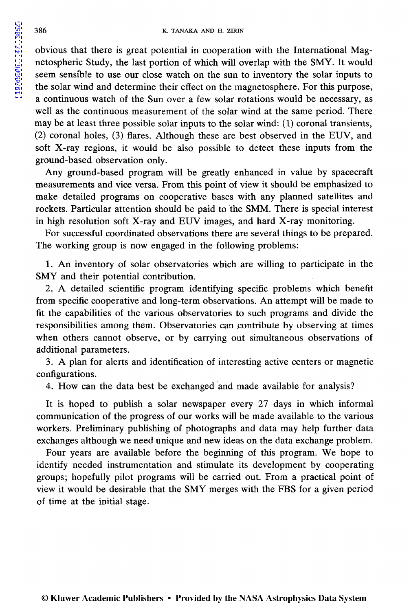obvious that there is great potential in cooperation with the International Magnetospheric Study, the last portion of which will overlap with the SMY. It would seem sensible to use our close watch on the sun to inventory the solar inputs to the solar wind and determine their effect on the magnetosphere. For this purpose, a continuous watch of the Sun over a few solar rotations would be necessary, as well as the continuous measurement of the solar wind at the same period. There may be at least three possible solar inputs to the solar wind: (1) coronal transients, (2) coronal holes, (3) flares. Although these are best observed in the EUV, and soft X-ray regions, it would be also possible to detect these inputs from the ground-based observation only.

Any ground-based program will be greatly enhanced in value by spacecraft measurements and vice versa. From this point of view it should be emphasized to make detailed programs on cooperative bases with any planned satellites and rockets. Particular attention should be paid to the SMM. There is special interest in high resolution soft X-ray and EUV images, and hard X-ray monitoring.

For successful coordinated observations there are several things to be prepared. The working group is now engaged in the following problems:

1. An inventory of solar observatories which are willing to participate in the SMY and their potential contribution.

2. A detailed scientific program identifying specific problems which benefit from specific cooperative and long-term observations. An attempt will be made to fit the capabilities of the various observatories to such programs and divide the responsibilities among them. Observatories can contribute by observing at times when others cannot observe, or by carrying out simultaneous observations of additional parameters.

3. A plan for alerts and identification of interesting active centers or magnetic configurations.

4. How can the data best be exchanged 'and made available for analysis?

It is hoped to publish a solar newspaper every 27 days in which informal communication of the progress of our works will be made available to the various workers. Preliminary publishing of photographs and data may help further data exchanges although we need unique and new ideas on the data exchange problem.

Four years are available before the beginning of this program. We hope to identify needed instrumentation and stimulate its development by cooperating groups; hopefully pilot programs will be carried out. From a practical point of view it would be desirable that the SMY merges with the FBS for a given period of time at the initial stage.

[1976SoPh...47..385Z](http://adsabs.harvard.edu/abs/1976SoPh...47..385Z)

1976SoPh...47..385Z